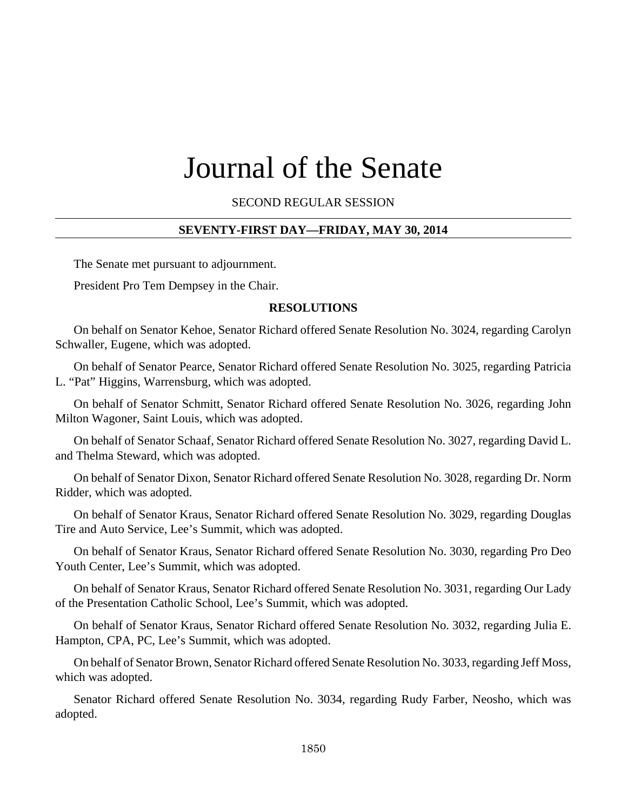# Journal of the Senate

SECOND REGULAR SESSION

## **SEVENTY-FIRST DAY—FRIDAY, MAY 30, 2014**

The Senate met pursuant to adjournment.

President Pro Tem Dempsey in the Chair.

#### **RESOLUTIONS**

On behalf on Senator Kehoe, Senator Richard offered Senate Resolution No. 3024, regarding Carolyn Schwaller, Eugene, which was adopted.

On behalf of Senator Pearce, Senator Richard offered Senate Resolution No. 3025, regarding Patricia L. "Pat" Higgins, Warrensburg, which was adopted.

On behalf of Senator Schmitt, Senator Richard offered Senate Resolution No. 3026, regarding John Milton Wagoner, Saint Louis, which was adopted.

On behalf of Senator Schaaf, Senator Richard offered Senate Resolution No. 3027, regarding David L. and Thelma Steward, which was adopted.

On behalf of Senator Dixon, Senator Richard offered Senate Resolution No. 3028, regarding Dr. Norm Ridder, which was adopted.

On behalf of Senator Kraus, Senator Richard offered Senate Resolution No. 3029, regarding Douglas Tire and Auto Service, Lee's Summit, which was adopted.

On behalf of Senator Kraus, Senator Richard offered Senate Resolution No. 3030, regarding Pro Deo Youth Center, Lee's Summit, which was adopted.

On behalf of Senator Kraus, Senator Richard offered Senate Resolution No. 3031, regarding Our Lady of the Presentation Catholic School, Lee's Summit, which was adopted.

On behalf of Senator Kraus, Senator Richard offered Senate Resolution No. 3032, regarding Julia E. Hampton, CPA, PC, Lee's Summit, which was adopted.

On behalf of Senator Brown, Senator Richard offered Senate Resolution No. 3033, regarding Jeff Moss, which was adopted.

Senator Richard offered Senate Resolution No. 3034, regarding Rudy Farber, Neosho, which was adopted.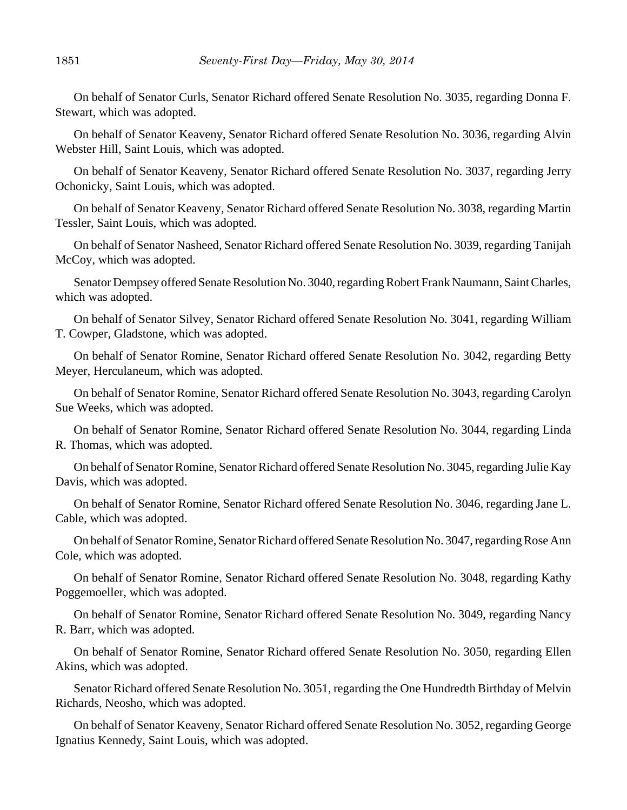On behalf of Senator Curls, Senator Richard offered Senate Resolution No. 3035, regarding Donna F. Stewart, which was adopted.

On behalf of Senator Keaveny, Senator Richard offered Senate Resolution No. 3036, regarding Alvin Webster Hill, Saint Louis, which was adopted.

On behalf of Senator Keaveny, Senator Richard offered Senate Resolution No. 3037, regarding Jerry Ochonicky, Saint Louis, which was adopted.

On behalf of Senator Keaveny, Senator Richard offered Senate Resolution No. 3038, regarding Martin Tessler, Saint Louis, which was adopted.

On behalf of Senator Nasheed, Senator Richard offered Senate Resolution No. 3039, regarding Tanijah McCoy, which was adopted.

Senator Dempsey offered Senate Resolution No. 3040, regarding Robert Frank Naumann, Saint Charles, which was adopted.

On behalf of Senator Silvey, Senator Richard offered Senate Resolution No. 3041, regarding William T. Cowper, Gladstone, which was adopted.

On behalf of Senator Romine, Senator Richard offered Senate Resolution No. 3042, regarding Betty Meyer, Herculaneum, which was adopted.

On behalf of Senator Romine, Senator Richard offered Senate Resolution No. 3043, regarding Carolyn Sue Weeks, which was adopted.

On behalf of Senator Romine, Senator Richard offered Senate Resolution No. 3044, regarding Linda R. Thomas, which was adopted.

On behalf of Senator Romine, Senator Richard offered Senate Resolution No. 3045, regarding Julie Kay Davis, which was adopted.

On behalf of Senator Romine, Senator Richard offered Senate Resolution No. 3046, regarding Jane L. Cable, which was adopted.

On behalf of Senator Romine, Senator Richard offered Senate Resolution No. 3047, regarding Rose Ann Cole, which was adopted.

On behalf of Senator Romine, Senator Richard offered Senate Resolution No. 3048, regarding Kathy Poggemoeller, which was adopted.

On behalf of Senator Romine, Senator Richard offered Senate Resolution No. 3049, regarding Nancy R. Barr, which was adopted.

On behalf of Senator Romine, Senator Richard offered Senate Resolution No. 3050, regarding Ellen Akins, which was adopted.

Senator Richard offered Senate Resolution No. 3051, regarding the One Hundredth Birthday of Melvin Richards, Neosho, which was adopted.

On behalf of Senator Keaveny, Senator Richard offered Senate Resolution No. 3052, regarding George Ignatius Kennedy, Saint Louis, which was adopted.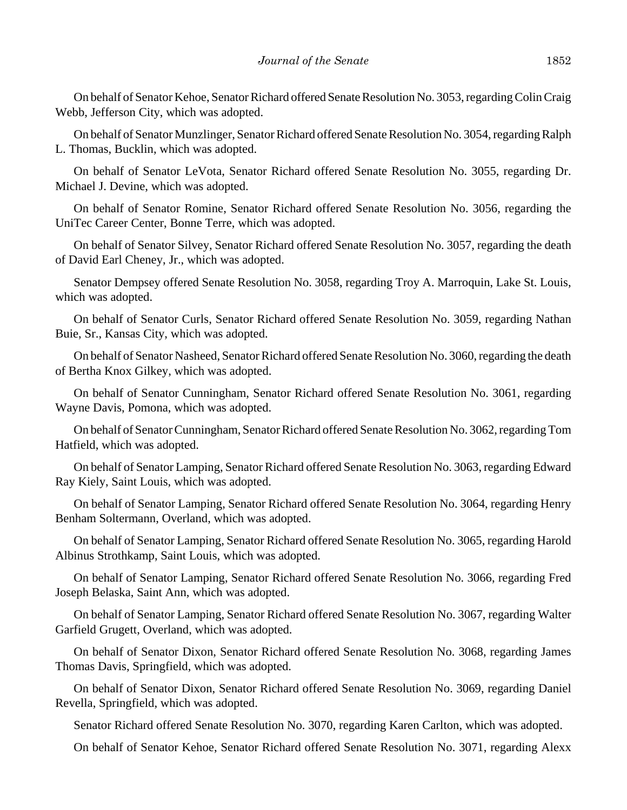On behalf of Senator Kehoe, Senator Richard offered Senate Resolution No. 3053, regarding Colin Craig Webb, Jefferson City, which was adopted.

On behalf of Senator Munzlinger, Senator Richard offered Senate Resolution No. 3054, regarding Ralph L. Thomas, Bucklin, which was adopted.

On behalf of Senator LeVota, Senator Richard offered Senate Resolution No. 3055, regarding Dr. Michael J. Devine, which was adopted.

On behalf of Senator Romine, Senator Richard offered Senate Resolution No. 3056, regarding the UniTec Career Center, Bonne Terre, which was adopted.

On behalf of Senator Silvey, Senator Richard offered Senate Resolution No. 3057, regarding the death of David Earl Cheney, Jr., which was adopted.

Senator Dempsey offered Senate Resolution No. 3058, regarding Troy A. Marroquin, Lake St. Louis, which was adopted.

On behalf of Senator Curls, Senator Richard offered Senate Resolution No. 3059, regarding Nathan Buie, Sr., Kansas City, which was adopted.

On behalf of Senator Nasheed, Senator Richard offered Senate Resolution No. 3060, regarding the death of Bertha Knox Gilkey, which was adopted.

On behalf of Senator Cunningham, Senator Richard offered Senate Resolution No. 3061, regarding Wayne Davis, Pomona, which was adopted.

On behalf of Senator Cunningham, Senator Richard offered Senate Resolution No. 3062, regarding Tom Hatfield, which was adopted.

On behalf of Senator Lamping, Senator Richard offered Senate Resolution No. 3063, regarding Edward Ray Kiely, Saint Louis, which was adopted.

On behalf of Senator Lamping, Senator Richard offered Senate Resolution No. 3064, regarding Henry Benham Soltermann, Overland, which was adopted.

On behalf of Senator Lamping, Senator Richard offered Senate Resolution No. 3065, regarding Harold Albinus Strothkamp, Saint Louis, which was adopted.

On behalf of Senator Lamping, Senator Richard offered Senate Resolution No. 3066, regarding Fred Joseph Belaska, Saint Ann, which was adopted.

On behalf of Senator Lamping, Senator Richard offered Senate Resolution No. 3067, regarding Walter Garfield Grugett, Overland, which was adopted.

On behalf of Senator Dixon, Senator Richard offered Senate Resolution No. 3068, regarding James Thomas Davis, Springfield, which was adopted.

On behalf of Senator Dixon, Senator Richard offered Senate Resolution No. 3069, regarding Daniel Revella, Springfield, which was adopted.

Senator Richard offered Senate Resolution No. 3070, regarding Karen Carlton, which was adopted.

On behalf of Senator Kehoe, Senator Richard offered Senate Resolution No. 3071, regarding Alexx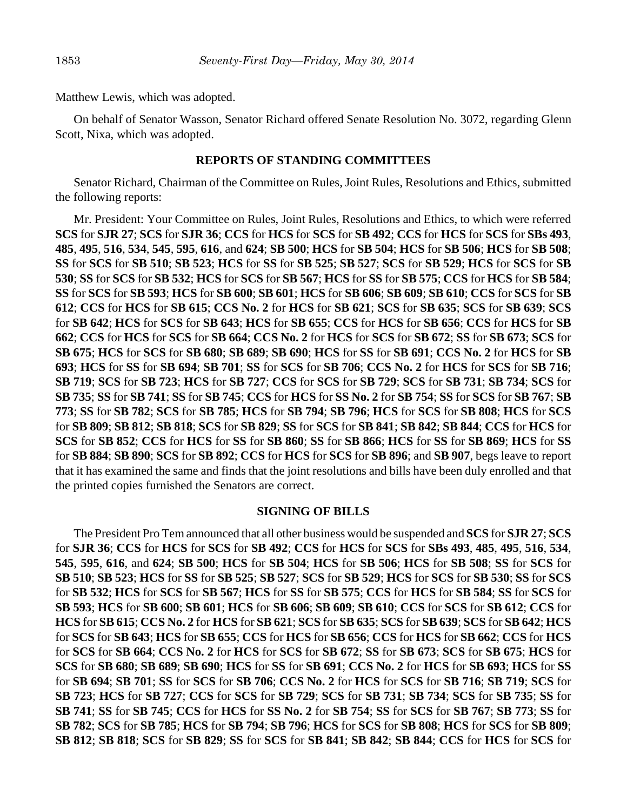Matthew Lewis, which was adopted.

On behalf of Senator Wasson, Senator Richard offered Senate Resolution No. 3072, regarding Glenn Scott, Nixa, which was adopted.

#### **REPORTS OF STANDING COMMITTEES**

Senator Richard, Chairman of the Committee on Rules, Joint Rules, Resolutions and Ethics, submitted the following reports:

Mr. President: Your Committee on Rules, Joint Rules, Resolutions and Ethics, to which were referred **SCS** for **SJR 27**; **SCS** for **SJR 36**; **CCS** for **HCS** for **SCS** for **SB 492**; **CCS** for **HCS** for **SCS** for **SBs 493**, **485**, **495**, **516**, **534**, **545**, **595**, **616**, and **624**; **SB 500**; **HCS** for **SB 504**; **HCS** for **SB 506**; **HCS** for **SB 508**; **SS** for **SCS** for **SB 510**; **SB 523**; **HCS** for **SS** for **SB 525**; **SB 527**; **SCS** for **SB 529**; **HCS** for **SCS** for **SB 530**; **SS** for **SCS** for **SB 532**; **HCS** for **SCS** for **SB 567**; **HCS** for **SS** for **SB 575**; **CCS** for **HCS** for **SB 584**; **SS** for **SCS** for **SB 593**; **HCS** for **SB 600**; **SB 601**; **HCS** for **SB 606**; **SB 609**; **SB 610**; **CCS** for **SCS** for **SB 612**; **CCS** for **HCS** for **SB 615**; **CCS No. 2** for **HCS** for **SB 621**; **SCS** for **SB 635**; **SCS** for **SB 639**; **SCS** for **SB 642**; **HCS** for **SCS** for **SB 643**; **HCS** for **SB 655**; **CCS** for **HCS** for **SB 656**; **CCS** for **HCS** for **SB 662**; **CCS** for **HCS** for **SCS** for **SB 664**; **CCS No. 2** for **HCS** for **SCS** for **SB 672**; **SS** for **SB 673**; **SCS** for **SB 675**; **HCS** for **SCS** for **SB 680**; **SB 689**; **SB 690**; **HCS** for **SS** for **SB 691**; **CCS No. 2** for **HCS** for **SB 693**; **HCS** for **SS** for **SB 694**; **SB 701**; **SS** for **SCS** for **SB 706**; **CCS No. 2** for **HCS** for **SCS** for **SB 716**; **SB 719**; **SCS** for **SB 723**; **HCS** for **SB 727**; **CCS** for **SCS** for **SB 729**; **SCS** for **SB 731**; **SB 734**; **SCS** for **SB 735**; **SS** for **SB 741**; **SS** for **SB 745**; **CCS** for **HCS** for **SS No. 2** for **SB 754**; **SS** for **SCS** for **SB 767**; **SB 773**; **SS** for **SB 782**; **SCS** for **SB 785**; **HCS** for **SB 794**; **SB 796**; **HCS** for **SCS** for **SB 808**; **HCS** for **SCS** for **SB 809**; **SB 812**; **SB 818**; **SCS** for **SB 829**; **SS** for **SCS** for **SB 841**; **SB 842**; **SB 844**; **CCS** for **HCS** for **SCS** for **SB 852**; **CCS** for **HCS** for **SS** for **SB 860**; **SS** for **SB 866**; **HCS** for **SS** for **SB 869**; **HCS** for **SS** for **SB 884**; **SB 890**; **SCS** for **SB 892**; **CCS** for **HCS** for **SCS** for **SB 896**; and **SB 907**, begs leave to report that it has examined the same and finds that the joint resolutions and bills have been duly enrolled and that the printed copies furnished the Senators are correct.

### **SIGNING OF BILLS**

The President Pro Tem announced that all other business would be suspended and **SCS** for **SJR 27**; **SCS** for **SJR 36**; **CCS** for **HCS** for **SCS** for **SB 492**; **CCS** for **HCS** for **SCS** for **SBs 493**, **485**, **495**, **516**, **534**, **545**, **595**, **616**, and **624**; **SB 500**; **HCS** for **SB 504**; **HCS** for **SB 506**; **HCS** for **SB 508**; **SS** for **SCS** for **SB 510**; **SB 523**; **HCS** for **SS** for **SB 525**; **SB 527**; **SCS** for **SB 529**; **HCS** for **SCS** for **SB 530**; **SS** for **SCS** for **SB 532**; **HCS** for **SCS** for **SB 567**; **HCS** for **SS** for **SB 575**; **CCS** for **HCS** for **SB 584**; **SS** for **SCS** for **SB 593**; **HCS** for **SB 600**; **SB 601**; **HCS** for **SB 606**; **SB 609**; **SB 610**; **CCS** for **SCS** for **SB 612**; **CCS** for **HCS** for **SB 615**; **CCS No. 2** for **HCS** for **SB 621**; **SCS** for **SB 635**; **SCS** for **SB 639**; **SCS** for **SB 642**; **HCS** for **SCS** for **SB 643**; **HCS** for **SB 655**; **CCS** for **HCS** for **SB 656**; **CCS** for **HCS** for **SB 662**; **CCS** for **HCS** for **SCS** for **SB 664**; **CCS No. 2** for **HCS** for **SCS** for **SB 672**; **SS** for **SB 673**; **SCS** for **SB 675**; **HCS** for **SCS** for **SB 680**; **SB 689**; **SB 690**; **HCS** for **SS** for **SB 691**; **CCS No. 2** for **HCS** for **SB 693**; **HCS** for **SS** for **SB 694**; **SB 701**; **SS** for **SCS** for **SB 706**; **CCS No. 2** for **HCS** for **SCS** for **SB 716**; **SB 719**; **SCS** for **SB 723**; **HCS** for **SB 727**; **CCS** for **SCS** for **SB 729**; **SCS** for **SB 731**; **SB 734**; **SCS** for **SB 735**; **SS** for **SB 741**; **SS** for **SB 745**; **CCS** for **HCS** for **SS No. 2** for **SB 754**; **SS** for **SCS** for **SB 767**; **SB 773**; **SS** for **SB 782**; **SCS** for **SB 785**; **HCS** for **SB 794**; **SB 796**; **HCS** for **SCS** for **SB 808**; **HCS** for **SCS** for **SB 809**; **SB 812**; **SB 818**; **SCS** for **SB 829**; **SS** for **SCS** for **SB 841**; **SB 842**; **SB 844**; **CCS** for **HCS** for **SCS** for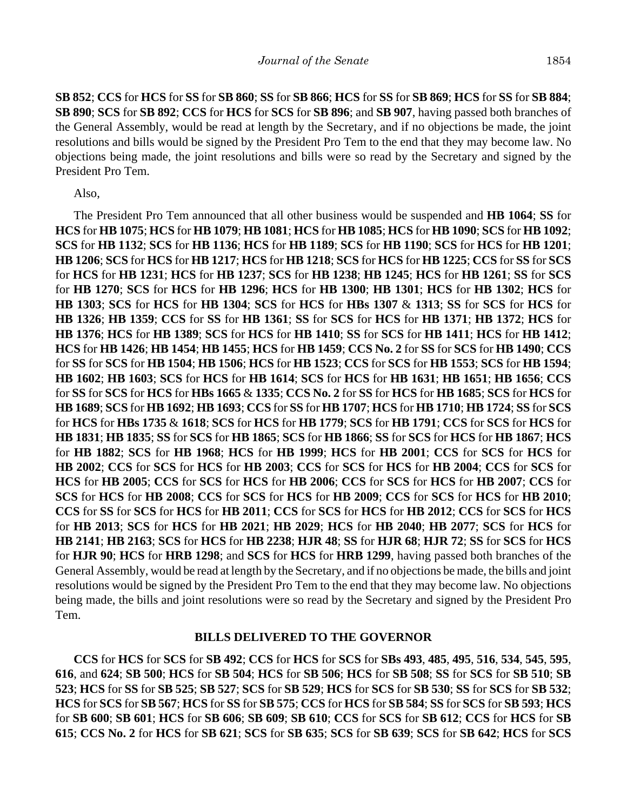**SB 852**; **CCS** for **HCS** for **SS** for **SB 860**; **SS** for **SB 866**; **HCS** for **SS** for **SB 869**; **HCS** for **SS** for **SB 884**; **SB 890**; **SCS** for **SB 892**; **CCS** for **HCS** for **SCS** for **SB 896**; and **SB 907**, having passed both branches of the General Assembly, would be read at length by the Secretary, and if no objections be made, the joint resolutions and bills would be signed by the President Pro Tem to the end that they may become law. No objections being made, the joint resolutions and bills were so read by the Secretary and signed by the President Pro Tem.

Also,

The President Pro Tem announced that all other business would be suspended and **HB 1064**; **SS** for **HCS** for **HB 1075**; **HCS** for **HB 1079**; **HB 1081**; **HCS** for **HB 1085**; **HCS** for **HB 1090**; **SCS** for **HB 1092**; **SCS** for **HB 1132**; **SCS** for **HB 1136**; **HCS** for **HB 1189**; **SCS** for **HB 1190**; **SCS** for **HCS** for **HB 1201**; **HB 1206**; **SCS** for **HCS** for **HB 1217**; **HCS** for **HB 1218**; **SCS** for **HCS** for **HB 1225**; **CCS** for **SS** for **SCS** for **HCS** for **HB 1231**; **HCS** for **HB 1237**; **SCS** for **HB 1238**; **HB 1245**; **HCS** for **HB 1261**; **SS** for **SCS** for **HB 1270**; **SCS** for **HCS** for **HB 1296**; **HCS** for **HB 1300**; **HB 1301**; **HCS** for **HB 1302**; **HCS** for **HB 1303**; **SCS** for **HCS** for **HB 1304**; **SCS** for **HCS** for **HBs 1307** & **1313**; **SS** for **SCS** for **HCS** for **HB 1326**; **HB 1359**; **CCS** for **SS** for **HB 1361**; **SS** for **SCS** for **HCS** for **HB 1371**; **HB 1372**; **HCS** for **HB 1376**; **HCS** for **HB 1389**; **SCS** for **HCS** for **HB 1410**; **SS** for **SCS** for **HB 1411**; **HCS** for **HB 1412**; **HCS** for **HB 1426**; **HB 1454**; **HB 1455**; **HCS** for **HB 1459**; **CCS No. 2** for **SS** for **SCS** for **HB 1490**; **CCS** for **SS** for **SCS** for **HB 1504**; **HB 1506**; **HCS** for **HB 1523**; **CCS** for **SCS** for **HB 1553**; **SCS** for **HB 1594**; **HB 1602**; **HB 1603**; **SCS** for **HCS** for **HB 1614**; **SCS** for **HCS** for **HB 1631**; **HB 1651**; **HB 1656**; **CCS** for **SS** for **SCS** for **HCS** for **HBs 1665** & **1335**; **CCS No. 2** for **SS** for **HCS** for **HB 1685**; **SCS** for **HCS** for **HB 1689**; **SCS** for **HB 1692**; **HB 1693**; **CCS** for **SS** for **HB 1707**; **HCS** for **HB 1710**; **HB 1724**; **SS** for **SCS** for **HCS** for **HBs 1735** & **1618**; **SCS** for **HCS** for **HB 1779**; **SCS** for **HB 1791**; **CCS** for **SCS** for **HCS** for **HB 1831**; **HB 1835**; **SS** for **SCS** for **HB 1865**; **SCS** for **HB 1866**; **SS** for **SCS** for **HCS** for **HB 1867**; **HCS** for **HB 1882**; **SCS** for **HB 1968**; **HCS** for **HB 1999**; **HCS** for **HB 2001**; **CCS** for **SCS** for **HCS** for **HB 2002**; **CCS** for **SCS** for **HCS** for **HB 2003**; **CCS** for **SCS** for **HCS** for **HB 2004**; **CCS** for **SCS** for **HCS** for **HB 2005**; **CCS** for **SCS** for **HCS** for **HB 2006**; **CCS** for **SCS** for **HCS** for **HB 2007**; **CCS** for **SCS** for **HCS** for **HB 2008**; **CCS** for **SCS** for **HCS** for **HB 2009**; **CCS** for **SCS** for **HCS** for **HB 2010**; **CCS** for **SS** for **SCS** for **HCS** for **HB 2011**; **CCS** for **SCS** for **HCS** for **HB 2012**; **CCS** for **SCS** for **HCS** for **HB 2013**; **SCS** for **HCS** for **HB 2021**; **HB 2029**; **HCS** for **HB 2040**; **HB 2077**; **SCS** for **HCS** for **HB 2141**; **HB 2163**; **SCS** for **HCS** for **HB 2238**; **HJR 48**; **SS** for **HJR 68**; **HJR 72**; **SS** for **SCS** for **HCS** for **HJR 90**; **HCS** for **HRB 1298**; and **SCS** for **HCS** for **HRB 1299**, having passed both branches of the General Assembly, would be read at length by the Secretary, and if no objections be made, the bills and joint resolutions would be signed by the President Pro Tem to the end that they may become law. No objections being made, the bills and joint resolutions were so read by the Secretary and signed by the President Pro Tem.

#### **BILLS DELIVERED TO THE GOVERNOR**

**CCS** for **HCS** for **SCS** for **SB 492**; **CCS** for **HCS** for **SCS** for **SBs 493**, **485**, **495**, **516**, **534**, **545**, **595**, **616**, and **624**; **SB 500**; **HCS** for **SB 504**; **HCS** for **SB 506**; **HCS** for **SB 508**; **SS** for **SCS** for **SB 510**; **SB 523**; **HCS** for **SS** for **SB 525**; **SB 527**; **SCS** for **SB 529**; **HCS** for **SCS** for **SB 530**; **SS** for **SCS** for **SB 532**; **HCS** for **SCS** for **SB 567**; **HCS** for **SS** for **SB 575**; **CCS** for **HCS** for **SB 584**; **SS** for **SCS** for **SB 593**; **HCS** for **SB 600**; **SB 601**; **HCS** for **SB 606**; **SB 609**; **SB 610**; **CCS** for **SCS** for **SB 612**; **CCS** for **HCS** for **SB 615**; **CCS No. 2** for **HCS** for **SB 621**; **SCS** for **SB 635**; **SCS** for **SB 639**; **SCS** for **SB 642**; **HCS** for **SCS**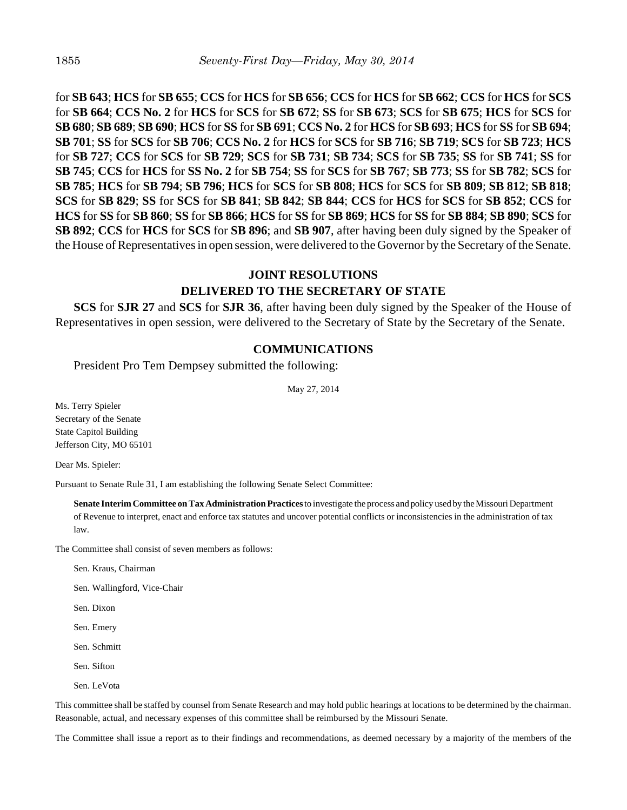for **SB 643**; **HCS** for **SB 655**; **CCS** for **HCS** for **SB 656**; **CCS** for **HCS** for **SB 662**; **CCS** for **HCS** for **SCS** for **SB 664**; **CCS No. 2** for **HCS** for **SCS** for **SB 672**; **SS** for **SB 673**; **SCS** for **SB 675**; **HCS** for **SCS** for **SB 680**; **SB 689**; **SB 690**; **HCS** for **SS** for **SB 691**; **CCS No. 2** for **HCS** for **SB 693**; **HCS** for **SS** for **SB 694**; **SB 701**; **SS** for **SCS** for **SB 706**; **CCS No. 2** for **HCS** for **SCS** for **SB 716**; **SB 719**; **SCS** for **SB 723**; **HCS** for **SB 727**; **CCS** for **SCS** for **SB 729**; **SCS** for **SB 731**; **SB 734**; **SCS** for **SB 735**; **SS** for **SB 741**; **SS** for **SB 745**; **CCS** for **HCS** for **SS No. 2** for **SB 754**; **SS** for **SCS** for **SB 767**; **SB 773**; **SS** for **SB 782**; **SCS** for **SB 785**; **HCS** for **SB 794**; **SB 796**; **HCS** for **SCS** for **SB 808**; **HCS** for **SCS** for **SB 809**; **SB 812**; **SB 818**; **SCS** for **SB 829**; **SS** for **SCS** for **SB 841**; **SB 842**; **SB 844**; **CCS** for **HCS** for **SCS** for **SB 852**; **CCS** for **HCS** for **SS** for **SB 860**; **SS** for **SB 866**; **HCS** for **SS** for **SB 869**; **HCS** for **SS** for **SB 884**; **SB 890**; **SCS** for **SB 892**; **CCS** for **HCS** for **SCS** for **SB 896**; and **SB 907**, after having been duly signed by the Speaker of the House of Representatives in open session, were delivered to the Governor by the Secretary of the Senate.

# **JOINT RESOLUTIONS DELIVERED TO THE SECRETARY OF STATE**

**SCS** for **SJR 27** and **SCS** for **SJR 36**, after having been duly signed by the Speaker of the House of Representatives in open session, were delivered to the Secretary of State by the Secretary of the Senate.

### **COMMUNICATIONS**

President Pro Tem Dempsey submitted the following:

May 27, 2014

Ms. Terry Spieler Secretary of the Senate State Capitol Building Jefferson City, MO 65101

Dear Ms. Spieler:

Pursuant to Senate Rule 31, I am establishing the following Senate Select Committee:

**Senate Interim Committee on Tax Administration Practices** to investigate the process and policy used by the Missouri Department of Revenue to interpret, enact and enforce tax statutes and uncover potential conflicts or inconsistencies in the administration of tax law.

The Committee shall consist of seven members as follows:

Sen. Kraus, Chairman

Sen. Wallingford, Vice-Chair

Sen. Dixon

Sen. Emery

Sen. Schmitt

Sen. Sifton

Sen. LeVota

This committee shall be staffed by counsel from Senate Research and may hold public hearings at locations to be determined by the chairman. Reasonable, actual, and necessary expenses of this committee shall be reimbursed by the Missouri Senate.

The Committee shall issue a report as to their findings and recommendations, as deemed necessary by a majority of the members of the